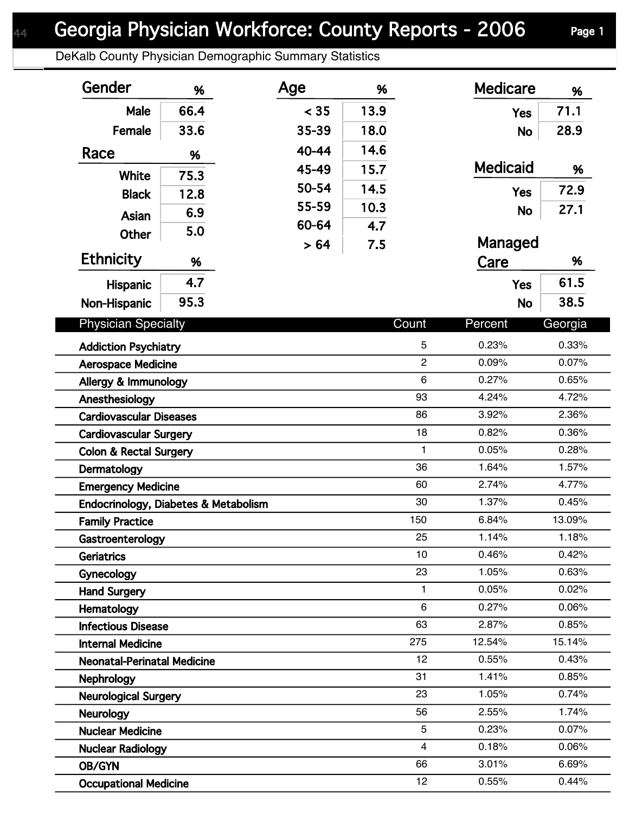DeKalb County Physician Demographic Summary Statistics

| Gender                             | %                                    | Age   | %    |                | <b>Medicare</b> | %       |
|------------------------------------|--------------------------------------|-------|------|----------------|-----------------|---------|
| <b>Male</b>                        | 66.4                                 | < 35  | 13.9 |                | <b>Yes</b>      | 71.1    |
| Female                             | 33.6                                 | 35-39 | 18.0 |                | <b>No</b>       | 28.9    |
| Race                               | %                                    | 40-44 | 14.6 |                |                 |         |
|                                    |                                      | 45-49 | 15.7 |                | <b>Medicaid</b> | %       |
| White                              | 75.3                                 | 50-54 | 14.5 |                |                 | 72.9    |
| <b>Black</b>                       | 12.8                                 | 55-59 | 10.3 |                | <b>Yes</b>      |         |
| Asian                              | 6.9                                  | 60-64 | 4.7  |                | <b>No</b>       | 27.1    |
| <b>Other</b>                       | 5.0                                  |       |      |                | Managed         |         |
| <b>Ethnicity</b>                   | %                                    | > 64  | 7.5  |                | Care            | %       |
| Hispanic                           | 4.7                                  |       |      |                | <b>Yes</b>      | 61.5    |
| Non-Hispanic                       | 95.3                                 |       |      |                | <b>No</b>       | 38.5    |
|                                    |                                      |       |      |                |                 |         |
| <b>Physician Specialty</b>         |                                      |       |      | Count          | Percent         | Georgia |
| <b>Addiction Psychiatry</b>        |                                      |       |      | 5              | 0.23%           | 0.33%   |
| <b>Aerospace Medicine</b>          |                                      |       |      | $\overline{2}$ | 0.09%           | 0.07%   |
| Allergy & Immunology               |                                      |       |      | 6              | 0.27%           | 0.65%   |
| Anesthesiology                     |                                      |       |      | 93             | 4.24%           | 4.72%   |
| <b>Cardiovascular Diseases</b>     |                                      |       |      | 86             | 3.92%           | 2.36%   |
| <b>Cardiovascular Surgery</b>      |                                      |       |      | 18             | 0.82%           | 0.36%   |
| <b>Colon &amp; Rectal Surgery</b>  |                                      |       |      | $\mathbf{1}$   | 0.05%           | 0.28%   |
| Dermatology                        |                                      |       |      | 36             | 1.64%           | 1.57%   |
| <b>Emergency Medicine</b>          |                                      |       |      | 60             | 2.74%           | 4.77%   |
|                                    | Endocrinology, Diabetes & Metabolism |       |      | 30             | 1.37%           | 0.45%   |
| <b>Family Practice</b>             |                                      |       |      | 150            | 6.84%           | 13.09%  |
| Gastroenterology                   |                                      |       |      | 25             | 1.14%           | 1.18%   |
| Geriatrics                         |                                      |       |      | 10             | 0.46%           | 0.42%   |
| Gynecology                         |                                      |       |      | 23             | 1.05%           | 0.63%   |
| <b>Hand Surgery</b>                |                                      |       |      | $\mathbf{1}$   | 0.05%           | 0.02%   |
| Hematology                         |                                      |       |      | 6              | 0.27%           | 0.06%   |
| <b>Infectious Disease</b>          |                                      |       |      | 63             | 2.87%           | 0.85%   |
| <b>Internal Medicine</b>           |                                      |       |      | 275            | 12.54%          | 15.14%  |
| <b>Neonatal-Perinatal Medicine</b> |                                      |       |      | 12             | 0.55%           | 0.43%   |
| <b>Nephrology</b>                  |                                      |       |      | 31             | 1.41%           | 0.85%   |
| <b>Neurological Surgery</b>        |                                      |       |      | 23             | 1.05%           | 0.74%   |
| <b>Neurology</b>                   |                                      |       |      | 56             | 2.55%           | 1.74%   |
| <b>Nuclear Medicine</b>            |                                      |       |      | 5              | 0.23%           | 0.07%   |
| <b>Nuclear Radiology</b>           |                                      |       |      | $\overline{4}$ | 0.18%           | 0.06%   |
| OB/GYN                             |                                      |       |      | 66             | 3.01%           | 6.69%   |
| <b>Occupational Medicine</b>       |                                      |       |      | 12             | 0.55%           | 0.44%   |